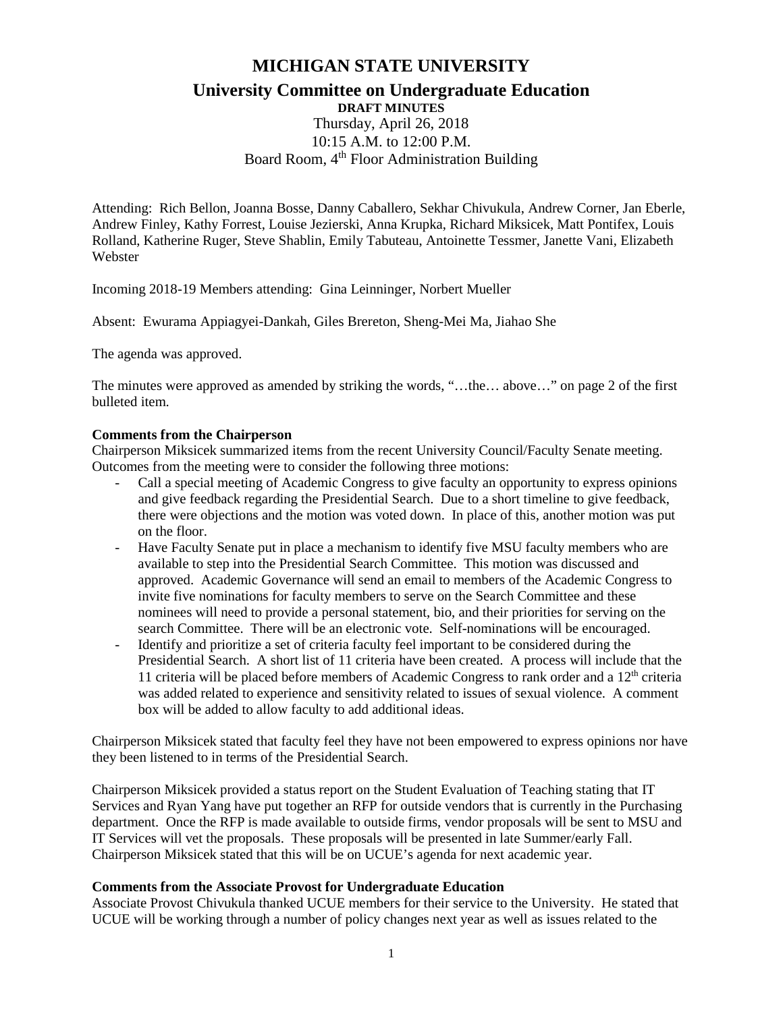# **MICHIGAN STATE UNIVERSITY University Committee on Undergraduate Education**

# **DRAFT MINUTES** Thursday, April 26, 2018 10:15 A.M. to 12:00 P.M. Board Room, 4<sup>th</sup> Floor Administration Building

Attending: Rich Bellon, Joanna Bosse, Danny Caballero, Sekhar Chivukula, Andrew Corner, Jan Eberle, Andrew Finley, Kathy Forrest, Louise Jezierski, Anna Krupka, Richard Miksicek, Matt Pontifex, Louis Rolland, Katherine Ruger, Steve Shablin, Emily Tabuteau, Antoinette Tessmer, Janette Vani, Elizabeth Webster

Incoming 2018-19 Members attending: Gina Leinninger, Norbert Mueller

Absent: Ewurama Appiagyei-Dankah, Giles Brereton, Sheng-Mei Ma, Jiahao She

The agenda was approved.

The minutes were approved as amended by striking the words, "…the… above…" on page 2 of the first bulleted item.

#### **Comments from the Chairperson**

Chairperson Miksicek summarized items from the recent University Council/Faculty Senate meeting. Outcomes from the meeting were to consider the following three motions:

- Call a special meeting of Academic Congress to give faculty an opportunity to express opinions and give feedback regarding the Presidential Search. Due to a short timeline to give feedback, there were objections and the motion was voted down. In place of this, another motion was put on the floor.
- Have Faculty Senate put in place a mechanism to identify five MSU faculty members who are available to step into the Presidential Search Committee. This motion was discussed and approved. Academic Governance will send an email to members of the Academic Congress to invite five nominations for faculty members to serve on the Search Committee and these nominees will need to provide a personal statement, bio, and their priorities for serving on the search Committee. There will be an electronic vote. Self-nominations will be encouraged.
- Identify and prioritize a set of criteria faculty feel important to be considered during the Presidential Search. A short list of 11 criteria have been created. A process will include that the 11 criteria will be placed before members of Academic Congress to rank order and a  $12<sup>th</sup>$  criteria was added related to experience and sensitivity related to issues of sexual violence. A comment box will be added to allow faculty to add additional ideas.

Chairperson Miksicek stated that faculty feel they have not been empowered to express opinions nor have they been listened to in terms of the Presidential Search.

Chairperson Miksicek provided a status report on the Student Evaluation of Teaching stating that IT Services and Ryan Yang have put together an RFP for outside vendors that is currently in the Purchasing department. Once the RFP is made available to outside firms, vendor proposals will be sent to MSU and IT Services will vet the proposals. These proposals will be presented in late Summer/early Fall. Chairperson Miksicek stated that this will be on UCUE's agenda for next academic year.

#### **Comments from the Associate Provost for Undergraduate Education**

Associate Provost Chivukula thanked UCUE members for their service to the University. He stated that UCUE will be working through a number of policy changes next year as well as issues related to the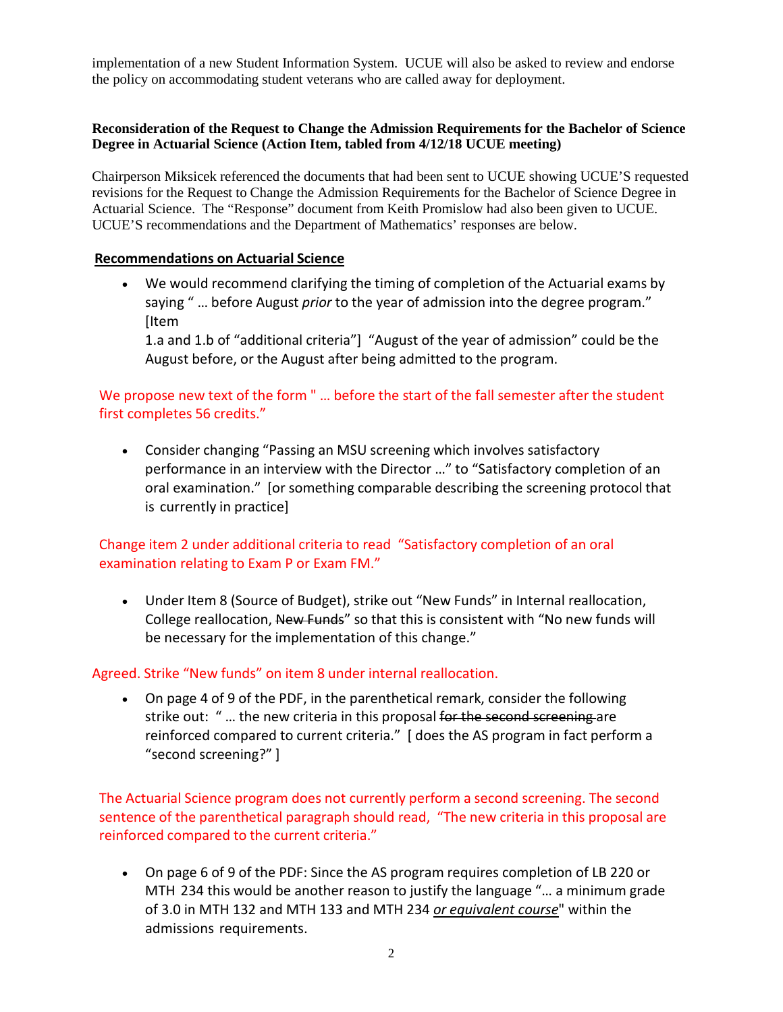implementation of a new Student Information System. UCUE will also be asked to review and endorse the policy on accommodating student veterans who are called away for deployment.

## **Reconsideration of the Request to Change the Admission Requirements for the Bachelor of Science Degree in Actuarial Science (Action Item, tabled from 4/12/18 UCUE meeting)**

Chairperson Miksicek referenced the documents that had been sent to UCUE showing UCUE'S requested revisions for the Request to Change the Admission Requirements for the Bachelor of Science Degree in Actuarial Science. The "Response" document from Keith Promislow had also been given to UCUE. UCUE'S recommendations and the Department of Mathematics' responses are below.

## **Recommendations on Actuarial Science**

• We would recommend clarifying the timing of completion of the Actuarial exams by saying " … before August *prior* to the year of admission into the degree program." [Item

1.a and 1.b of "additional criteria"] "August of the year of admission" could be the August before, or the August after being admitted to the program.

# We propose new text of the form " … before the start of the fall semester after the student first completes 56 credits."

• Consider changing "Passing an MSU screening which involves satisfactory performance in an interview with the Director …" to "Satisfactory completion of an oral examination." [or something comparable describing the screening protocol that is currently in practice]

# Change item 2 under additional criteria to read "Satisfactory completion of an oral examination relating to Exam P or Exam FM."

• Under Item 8 (Source of Budget), strike out "New Funds" in Internal reallocation, College reallocation, New Funds" so that this is consistent with "No new funds will be necessary for the implementation of this change."

# Agreed. Strike "New funds" on item 8 under internal reallocation.

• On page 4 of 9 of the PDF, in the parenthetical remark, consider the following strike out: "... the new criteria in this proposal for the second screening are reinforced compared to current criteria." [ does the AS program in fact perform a "second screening?" ]

The Actuarial Science program does not currently perform a second screening. The second sentence of the parenthetical paragraph should read, "The new criteria in this proposal are reinforced compared to the current criteria."

• On page 6 of 9 of the PDF: Since the AS program requires completion of LB 220 or MTH 234 this would be another reason to justify the language "… a minimum grade of 3.0 in MTH 132 and MTH 133 and MTH 234 *or equivalent course*" within the admissions requirements.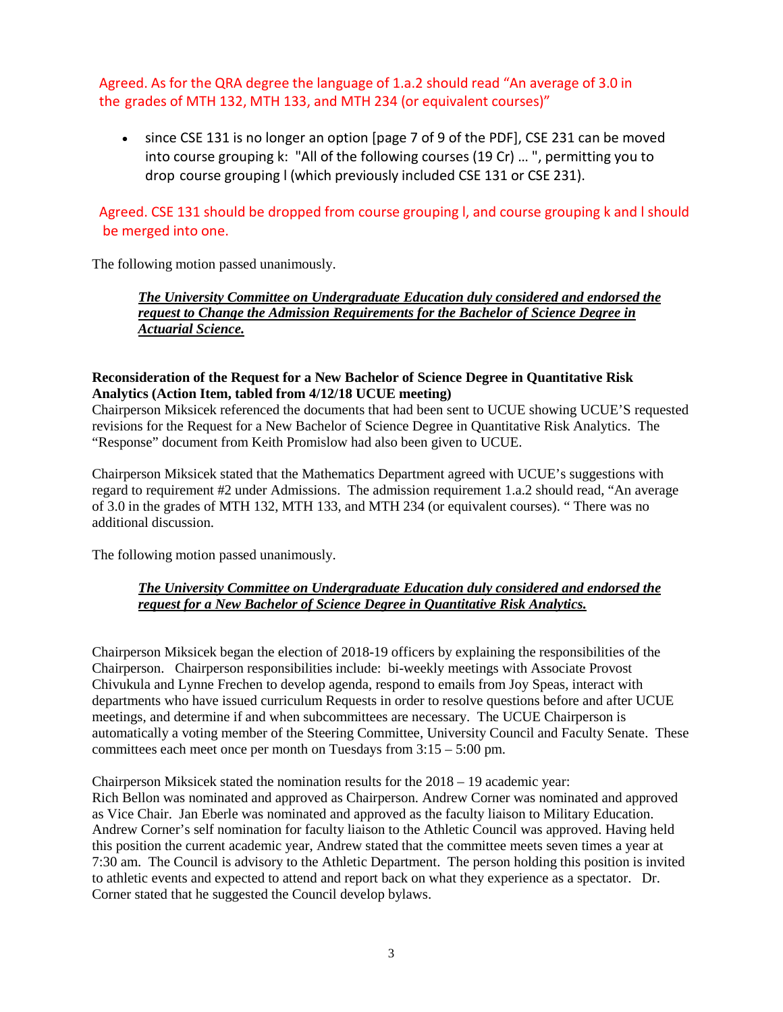Agreed. As for the QRA degree the language of 1.a.2 should read "An average of 3.0 in the grades of MTH 132, MTH 133, and MTH 234 (or equivalent courses)"

• since CSE 131 is no longer an option [page 7 of 9 of the PDF], CSE 231 can be moved into course grouping k: "All of the following courses (19 Cr) … ", permitting you to drop course grouping l (which previously included CSE 131 or CSE 231).

# Agreed. CSE 131 should be dropped from course grouping l, and course grouping k and l should be merged into one.

The following motion passed unanimously.

*The University Committee on Undergraduate Education duly considered and endorsed the request to Change the Admission Requirements for the Bachelor of Science Degree in Actuarial Science.*

#### **Reconsideration of the Request for a New Bachelor of Science Degree in Quantitative Risk Analytics (Action Item, tabled from 4/12/18 UCUE meeting)**

Chairperson Miksicek referenced the documents that had been sent to UCUE showing UCUE'S requested revisions for the Request for a New Bachelor of Science Degree in Quantitative Risk Analytics. The "Response" document from Keith Promislow had also been given to UCUE.

Chairperson Miksicek stated that the Mathematics Department agreed with UCUE's suggestions with regard to requirement #2 under Admissions. The admission requirement 1.a.2 should read, "An average of 3.0 in the grades of MTH 132, MTH 133, and MTH 234 (or equivalent courses). " There was no additional discussion.

The following motion passed unanimously.

# *The University Committee on Undergraduate Education duly considered and endorsed the request for a New Bachelor of Science Degree in Quantitative Risk Analytics.*

Chairperson Miksicek began the election of 2018-19 officers by explaining the responsibilities of the Chairperson. Chairperson responsibilities include: bi-weekly meetings with Associate Provost Chivukula and Lynne Frechen to develop agenda, respond to emails from Joy Speas, interact with departments who have issued curriculum Requests in order to resolve questions before and after UCUE meetings, and determine if and when subcommittees are necessary. The UCUE Chairperson is automatically a voting member of the Steering Committee, University Council and Faculty Senate. These committees each meet once per month on Tuesdays from 3:15 – 5:00 pm.

Chairperson Miksicek stated the nomination results for the 2018 – 19 academic year: Rich Bellon was nominated and approved as Chairperson. Andrew Corner was nominated and approved as Vice Chair. Jan Eberle was nominated and approved as the faculty liaison to Military Education. Andrew Corner's self nomination for faculty liaison to the Athletic Council was approved. Having held this position the current academic year, Andrew stated that the committee meets seven times a year at 7:30 am. The Council is advisory to the Athletic Department. The person holding this position is invited to athletic events and expected to attend and report back on what they experience as a spectator. Dr. Corner stated that he suggested the Council develop bylaws.